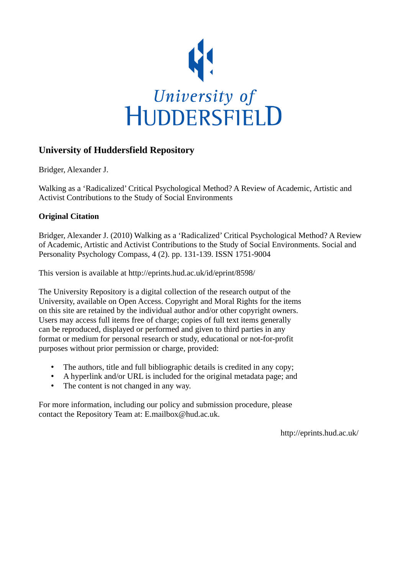

# **University of Huddersfield Repository**

Bridger, Alexander J.

Walking as a 'Radicalized' Critical Psychological Method? A Review of Academic, Artistic and Activist Contributions to the Study of Social Environments

## **Original Citation**

Bridger, Alexander J. (2010) Walking as a 'Radicalized' Critical Psychological Method? A Review of Academic, Artistic and Activist Contributions to the Study of Social Environments. Social and Personality Psychology Compass, 4 (2). pp. 131-139. ISSN 1751-9004

This version is available at http://eprints.hud.ac.uk/id/eprint/8598/

The University Repository is a digital collection of the research output of the University, available on Open Access. Copyright and Moral Rights for the items on this site are retained by the individual author and/or other copyright owners. Users may access full items free of charge; copies of full text items generally can be reproduced, displayed or performed and given to third parties in any format or medium for personal research or study, educational or not-for-profit purposes without prior permission or charge, provided:

- The authors, title and full bibliographic details is credited in any copy;
- A hyperlink and/or URL is included for the original metadata page; and
- The content is not changed in any way.

For more information, including our policy and submission procedure, please contact the Repository Team at: E.mailbox@hud.ac.uk.

http://eprints.hud.ac.uk/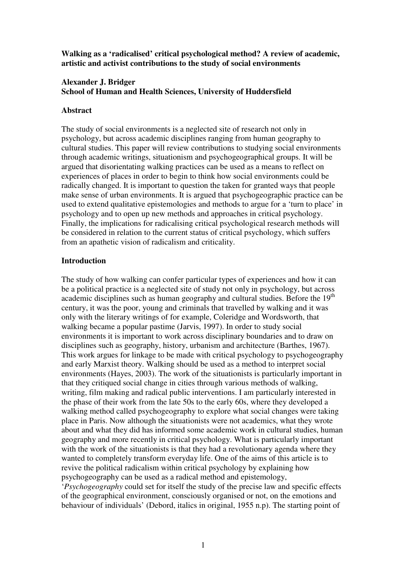**Walking as a 'radicalised' critical psychological method? A review of academic, artistic and activist contributions to the study of social environments** 

#### **Alexander J. Bridger School of Human and Health Sciences, University of Huddersfield**

#### **Abstract**

The study of social environments is a neglected site of research not only in psychology, but across academic disciplines ranging from human geography to cultural studies. This paper will review contributions to studying social environments through academic writings, situationism and psychogeographical groups. It will be argued that disorientating walking practices can be used as a means to reflect on experiences of places in order to begin to think how social environments could be radically changed. It is important to question the taken for granted ways that people make sense of urban environments. It is argued that psychogeographic practice can be used to extend qualitative epistemologies and methods to argue for a 'turn to place' in psychology and to open up new methods and approaches in critical psychology. Finally, the implications for radicalising critical psychological research methods will be considered in relation to the current status of critical psychology, which suffers from an apathetic vision of radicalism and criticality.

#### **Introduction**

The study of how walking can confer particular types of experiences and how it can be a political practice is a neglected site of study not only in psychology, but across academic disciplines such as human geography and cultural studies. Before the  $19<sup>th</sup>$ century, it was the poor, young and criminals that travelled by walking and it was only with the literary writings of for example, Coleridge and Wordsworth, that walking became a popular pastime (Jarvis, 1997). In order to study social environments it is important to work across disciplinary boundaries and to draw on disciplines such as geography, history, urbanism and architecture (Barthes, 1967). This work argues for linkage to be made with critical psychology to psychogeography and early Marxist theory. Walking should be used as a method to interpret social environments (Hayes, 2003). The work of the situationists is particularly important in that they critiqued social change in cities through various methods of walking, writing, film making and radical public interventions. I am particularly interested in the phase of their work from the late 50s to the early 60s, where they developed a walking method called psychogeography to explore what social changes were taking place in Paris. Now although the situationists were not academics, what they wrote about and what they did has informed some academic work in cultural studies, human geography and more recently in critical psychology. What is particularly important with the work of the situationists is that they had a revolutionary agenda where they wanted to completely transform everyday life. One of the aims of this article is to revive the political radicalism within critical psychology by explaining how psychogeography can be used as a radical method and epistemology, '*Psychogeography* could set for itself the study of the precise law and specific effects of the geographical environment, consciously organised or not, on the emotions and behaviour of individuals' (Debord, italics in original, 1955 n.p). The starting point of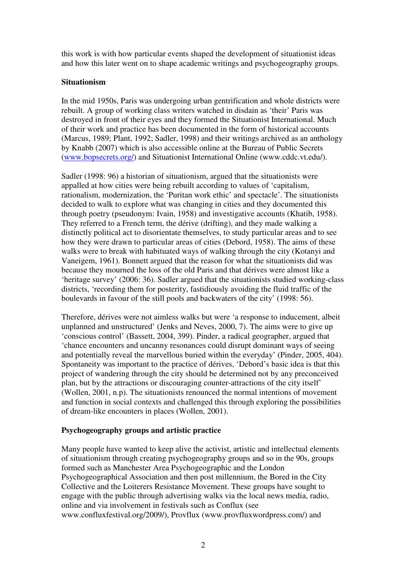this work is with how particular events shaped the development of situationist ideas and how this later went on to shape academic writings and psychogeography groups.

#### **Situationism**

In the mid 1950s, Paris was undergoing urban gentrification and whole districts were rebuilt. A group of working class writers watched in disdain as 'their' Paris was destroyed in front of their eyes and they formed the Situationist International. Much of their work and practice has been documented in the form of historical accounts (Marcus, 1989; Plant, 1992; Sadler, 1998) and their writings archived as an anthology by Knabb (2007) which is also accessible online at the Bureau of Public Secrets (www.bopsecrets.org/) and Situationist International Online (www.cddc.vt.edu/).

Sadler (1998: 96) a historian of situationism, argued that the situationists were appalled at how cities were being rebuilt according to values of 'capitalism, rationalism, modernization, the 'Puritan work ethic' and spectacle'. The situationists decided to walk to explore what was changing in cities and they documented this through poetry (pseudonym: Ivain, 1958) and investigative accounts (Khatib, 1958). They referred to a French term, the dérive (drifting), and they made walking a distinctly political act to disorientate themselves, to study particular areas and to see how they were drawn to particular areas of cities (Debord, 1958). The aims of these walks were to break with habituated ways of walking through the city (Kotanyi and Vaneigem, 1961). Bonnett argued that the reason for what the situationists did was because they mourned the loss of the old Paris and that dérives were almost like a 'heritage survey' (2006: 36). Sadler argued that the situationists studied working-class districts, 'recording them for posterity, fastidiously avoiding the fluid traffic of the boulevards in favour of the still pools and backwaters of the city' (1998: 56).

Therefore, dérives were not aimless walks but were 'a response to inducement, albeit unplanned and unstructured' (Jenks and Neves, 2000, 7). The aims were to give up 'conscious control' (Bassett, 2004, 399). Pinder, a radical geographer, argued that 'chance encounters and uncanny resonances could disrupt dominant ways of seeing and potentially reveal the marvellous buried within the everyday' (Pinder, 2005, 404). Spontaneity was important to the practice of dérives, 'Debord's basic idea is that this project of wandering through the city should be determined not by any preconceived plan, but by the attractions or discouraging counter-attractions of the city itself' (Wollen, 2001, n.p). The situationists renounced the normal intentions of movement and function in social contexts and challenged this through exploring the possibilities of dream-like encounters in places (Wollen, 2001).

#### **Psychogeography groups and artistic practice**

Many people have wanted to keep alive the activist, artistic and intellectual elements of situationism through creating psychogeography groups and so in the 90s, groups formed such as Manchester Area Psychogeographic and the London Psychogeographical Association and then post millennium, the Bored in the City Collective and the Loiterers Resistance Movement. These groups have sought to engage with the public through advertising walks via the local news media, radio, online and via involvement in festivals such as Conflux (see www.confluxfestival.org/2009/), Provflux (www.provfluxwordpress.com/) and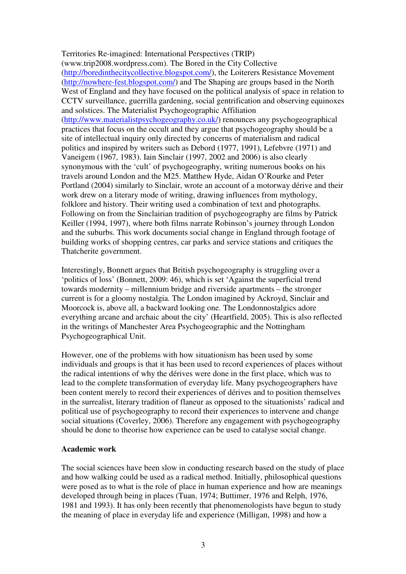Territories Re-imagined: International Perspectives (TRIP) (www.trip2008.wordpress.com). The Bored in the City Collective (http://boredinthecitycollective.blogspot.com/), the Loiterers Resistance Movement (http://nowhere-fest.blogspot.com/) and The Shaping are groups based in the North West of England and they have focused on the political analysis of space in relation to CCTV surveillance, guerrilla gardening, social gentrification and observing equinoxes and solstices. The Materialist Psychogeographic Affiliation (http://www.materialistpsychogeography.co.uk/) renounces any psychogeographical practices that focus on the occult and they argue that psychogeography should be a site of intellectual inquiry only directed by concerns of materialism and radical politics and inspired by writers such as Debord (1977, 1991), Lefebvre (1971) and Vaneigem (1967, 1983). Iain Sinclair (1997, 2002 and 2006) is also clearly synonymous with the 'cult' of psychogeography, writing numerous books on his travels around London and the M25. Matthew Hyde, Aidan O'Rourke and Peter Portland (2004) similarly to Sinclair, wrote an account of a motorway dérive and their work drew on a literary mode of writing, drawing influences from mythology, folklore and history. Their writing used a combination of text and photographs. Following on from the Sinclairian tradition of psychogeography are films by Patrick Keiller (1994, 1997), where both films narrate Robinson's journey through London and the suburbs. This work documents social change in England through footage of building works of shopping centres, car parks and service stations and critiques the Thatcherite government.

Interestingly, Bonnett argues that British psychogeography is struggling over a 'politics of loss' (Bonnett, 2009: 46), which is set 'Against the superficial trend towards modernity – millennium bridge and riverside apartments – the stronger current is for a gloomy nostalgia. The London imagined by Ackroyd, Sinclair and Moorcock is, above all, a backward looking one. The Londonnostalgics adore everything arcane and archaic about the city' (Heartfield, 2005). This is also reflected in the writings of Manchester Area Psychogeographic and the Nottingham Psychogeographical Unit.

However, one of the problems with how situationism has been used by some individuals and groups is that it has been used to record experiences of places without the radical intentions of why the dérives were done in the first place, which was to lead to the complete transformation of everyday life. Many psychogeographers have been content merely to record their experiences of dérives and to position themselves in the surrealist, literary tradition of flaneur as opposed to the situationists' radical and political use of psychogeography to record their experiences to intervene and change social situations (Coverley, 2006). Therefore any engagement with psychogeography should be done to theorise how experience can be used to catalyse social change.

#### **Academic work**

The social sciences have been slow in conducting research based on the study of place and how walking could be used as a radical method. Initially, philosophical questions were posed as to what is the role of place in human experience and how are meanings developed through being in places (Tuan, 1974; Buttimer, 1976 and Relph, 1976, 1981 and 1993). It has only been recently that phenomenologists have begun to study the meaning of place in everyday life and experience (Milligan, 1998) and how a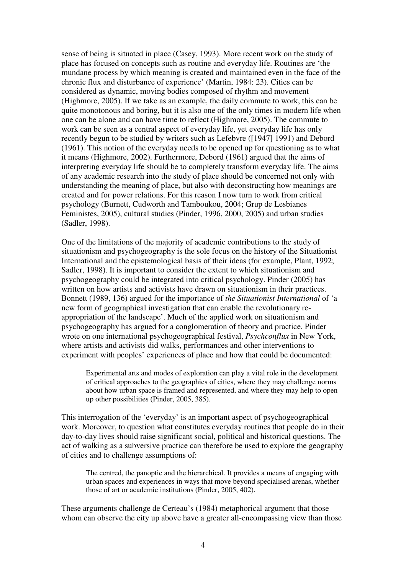sense of being is situated in place (Casey, 1993). More recent work on the study of place has focused on concepts such as routine and everyday life. Routines are 'the mundane process by which meaning is created and maintained even in the face of the chronic flux and disturbance of experience' (Martin, 1984: 23). Cities can be considered as dynamic, moving bodies composed of rhythm and movement (Highmore, 2005). If we take as an example, the daily commute to work, this can be quite monotonous and boring, but it is also one of the only times in modern life when one can be alone and can have time to reflect (Highmore, 2005). The commute to work can be seen as a central aspect of everyday life, yet everyday life has only recently begun to be studied by writers such as Lefebvre ([1947] 1991) and Debord (1961). This notion of the everyday needs to be opened up for questioning as to what it means (Highmore, 2002). Furthermore, Debord (1961) argued that the aims of interpreting everyday life should be to completely transform everyday life. The aims of any academic research into the study of place should be concerned not only with understanding the meaning of place, but also with deconstructing how meanings are created and for power relations. For this reason I now turn to work from critical psychology (Burnett, Cudworth and Tamboukou, 2004; Grup de Lesbianes Feministes, 2005), cultural studies (Pinder, 1996, 2000, 2005) and urban studies (Sadler, 1998).

One of the limitations of the majority of academic contributions to the study of situationism and psychogeography is the sole focus on the history of the Situationist International and the epistemological basis of their ideas (for example, Plant, 1992; Sadler, 1998). It is important to consider the extent to which situationism and psychogeography could be integrated into critical psychology. Pinder (2005) has written on how artists and activists have drawn on situationism in their practices. Bonnett (1989, 136) argued for the importance of *the Situationist International* of 'a new form of geographical investigation that can enable the revolutionary reappropriation of the landscape'. Much of the applied work on situationism and psychogeography has argued for a conglomeration of theory and practice. Pinder wrote on one international psychogeographical festival, *Psychconflux* in New York, where artists and activists did walks, performances and other interventions to experiment with peoples' experiences of place and how that could be documented:

Experimental arts and modes of exploration can play a vital role in the development of critical approaches to the geographies of cities, where they may challenge norms about how urban space is framed and represented, and where they may help to open up other possibilities (Pinder, 2005, 385).

This interrogation of the 'everyday' is an important aspect of psychogeographical work. Moreover, to question what constitutes everyday routines that people do in their day-to-day lives should raise significant social, political and historical questions. The act of walking as a subversive practice can therefore be used to explore the geography of cities and to challenge assumptions of:

The centred, the panoptic and the hierarchical. It provides a means of engaging with urban spaces and experiences in ways that move beyond specialised arenas, whether those of art or academic institutions (Pinder, 2005, 402).

These arguments challenge de Certeau's (1984) metaphorical argument that those whom can observe the city up above have a greater all-encompassing view than those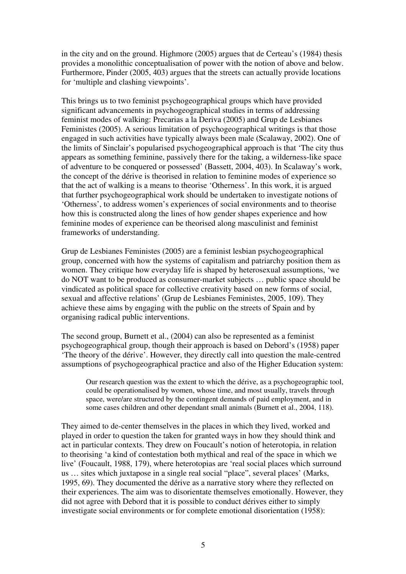in the city and on the ground. Highmore (2005) argues that de Certeau's (1984) thesis provides a monolithic conceptualisation of power with the notion of above and below. Furthermore, Pinder (2005, 403) argues that the streets can actually provide locations for 'multiple and clashing viewpoints'.

This brings us to two feminist psychogeographical groups which have provided significant advancements in psychogeographical studies in terms of addressing feminist modes of walking: Precarias a la Deriva (2005) and Grup de Lesbianes Feministes (2005). A serious limitation of psychogeographical writings is that those engaged in such activities have typically always been male (Scalaway, 2002). One of the limits of Sinclair's popularised psychogeographical approach is that 'The city thus appears as something feminine, passively there for the taking, a wilderness-like space of adventure to be conquered or possessed' (Bassett, 2004, 403). In Scalaway's work, the concept of the dérive is theorised in relation to feminine modes of experience so that the act of walking is a means to theorise 'Otherness'. In this work, it is argued that further psychogeographical work should be undertaken to investigate notions of 'Otherness', to address women's experiences of social environments and to theorise how this is constructed along the lines of how gender shapes experience and how feminine modes of experience can be theorised along masculinist and feminist frameworks of understanding.

Grup de Lesbianes Feministes (2005) are a feminist lesbian psychogeographical group, concerned with how the systems of capitalism and patriarchy position them as women. They critique how everyday life is shaped by heterosexual assumptions, 'we do NOT want to be produced as consumer-market subjects … public space should be vindicated as political space for collective creativity based on new forms of social, sexual and affective relations' (Grup de Lesbianes Feministes, 2005, 109). They achieve these aims by engaging with the public on the streets of Spain and by organising radical public interventions.

The second group, Burnett et al., (2004) can also be represented as a feminist psychogeographical group, though their approach is based on Debord's (1958) paper 'The theory of the dérive'. However, they directly call into question the male-centred assumptions of psychogeographical practice and also of the Higher Education system:

Our research question was the extent to which the dérive, as a psychogeographic tool, could be operationalised by women, whose time, and most usually, travels through space, were/are structured by the contingent demands of paid employment, and in some cases children and other dependant small animals (Burnett et al., 2004, 118).

They aimed to de-center themselves in the places in which they lived, worked and played in order to question the taken for granted ways in how they should think and act in particular contexts. They drew on Foucault's notion of heterotopia, in relation to theorising 'a kind of contestation both mythical and real of the space in which we live' (Foucault, 1988, 179), where heterotopias are 'real social places which surround us … sites which juxtapose in a single real social "place", several places' (Marks, 1995, 69). They documented the dérive as a narrative story where they reflected on their experiences. The aim was to disorientate themselves emotionally. However, they did not agree with Debord that it is possible to conduct dérives either to simply investigate social environments or for complete emotional disorientation (1958):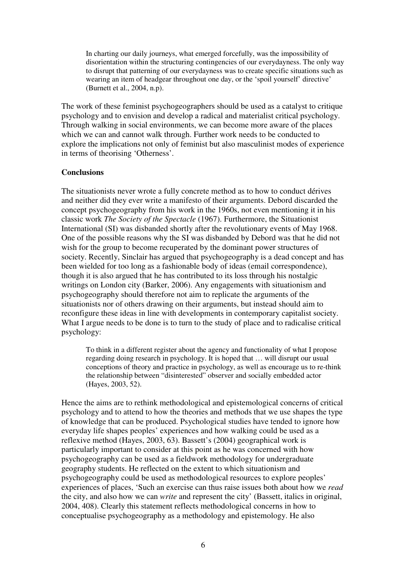In charting our daily journeys, what emerged forcefully, was the impossibility of disorientation within the structuring contingencies of our everydayness. The only way to disrupt that patterning of our everydayness was to create specific situations such as wearing an item of headgear throughout one day, or the 'spoil yourself' directive' (Burnett et al., 2004, n.p).

The work of these feminist psychogeographers should be used as a catalyst to critique psychology and to envision and develop a radical and materialist critical psychology. Through walking in social environments, we can become more aware of the places which we can and cannot walk through. Further work needs to be conducted to explore the implications not only of feminist but also masculinist modes of experience in terms of theorising 'Otherness'.

#### **Conclusions**

The situationists never wrote a fully concrete method as to how to conduct dérives and neither did they ever write a manifesto of their arguments. Debord discarded the concept psychogeography from his work in the 1960s, not even mentioning it in his classic work *The Society of the Spectacle* (1967). Furthermore, the Situationist International (SI) was disbanded shortly after the revolutionary events of May 1968. One of the possible reasons why the SI was disbanded by Debord was that he did not wish for the group to become recuperated by the dominant power structures of society. Recently, Sinclair has argued that psychogeography is a dead concept and has been wielded for too long as a fashionable body of ideas (email correspondence), though it is also argued that he has contributed to its loss through his nostalgic writings on London city (Barker, 2006). Any engagements with situationism and psychogeography should therefore not aim to replicate the arguments of the situationists nor of others drawing on their arguments, but instead should aim to reconfigure these ideas in line with developments in contemporary capitalist society. What I argue needs to be done is to turn to the study of place and to radicalise critical psychology:

To think in a different register about the agency and functionality of what I propose regarding doing research in psychology. It is hoped that … will disrupt our usual conceptions of theory and practice in psychology, as well as encourage us to re-think the relationship between "disinterested" observer and socially embedded actor (Hayes, 2003, 52).

Hence the aims are to rethink methodological and epistemological concerns of critical psychology and to attend to how the theories and methods that we use shapes the type of knowledge that can be produced. Psychological studies have tended to ignore how everyday life shapes peoples' experiences and how walking could be used as a reflexive method (Hayes, 2003, 63). Bassett's (2004) geographical work is particularly important to consider at this point as he was concerned with how psychogeography can be used as a fieldwork methodology for undergraduate geography students. He reflected on the extent to which situationism and psychogeography could be used as methodological resources to explore peoples' experiences of places, 'Such an exercise can thus raise issues both about how we *read* the city, and also how we can *write* and represent the city' (Bassett, italics in original, 2004, 408). Clearly this statement reflects methodological concerns in how to conceptualise psychogeography as a methodology and epistemology. He also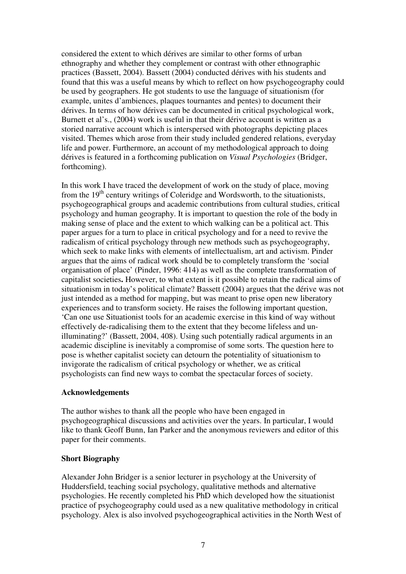considered the extent to which dérives are similar to other forms of urban ethnography and whether they complement or contrast with other ethnographic practices (Bassett, 2004). Bassett (2004) conducted dérives with his students and found that this was a useful means by which to reflect on how psychogeography could be used by geographers. He got students to use the language of situationism (for example, unites d'ambiences, plaques tournantes and pentes) to document their dérives. In terms of how dérives can be documented in critical psychological work, Burnett et al's., (2004) work is useful in that their dérive account is written as a storied narrative account which is interspersed with photographs depicting places visited. Themes which arose from their study included gendered relations, everyday life and power. Furthermore, an account of my methodological approach to doing dérives is featured in a forthcoming publication on *Visual Psychologies* (Bridger, forthcoming).

In this work I have traced the development of work on the study of place, moving from the  $19<sup>th</sup>$  century writings of Coleridge and Wordsworth, to the situationists, psychogeographical groups and academic contributions from cultural studies, critical psychology and human geography. It is important to question the role of the body in making sense of place and the extent to which walking can be a political act. This paper argues for a turn to place in critical psychology and for a need to revive the radicalism of critical psychology through new methods such as psychogeography, which seek to make links with elements of intellectualism, art and activism. Pinder argues that the aims of radical work should be to completely transform the 'social organisation of place' (Pinder, 1996: 414) as well as the complete transformation of capitalist societies**.** However, to what extent is it possible to retain the radical aims of situationism in today's political climate? Bassett (2004) argues that the dérive was not just intended as a method for mapping, but was meant to prise open new liberatory experiences and to transform society. He raises the following important question, 'Can one use Situationist tools for an academic exercise in this kind of way without effectively de-radicalising them to the extent that they become lifeless and unilluminating?' (Bassett, 2004, 408). Using such potentially radical arguments in an academic discipline is inevitably a compromise of some sorts. The question here to pose is whether capitalist society can detourn the potentiality of situationism to invigorate the radicalism of critical psychology or whether, we as critical psychologists can find new ways to combat the spectacular forces of society.

#### **Acknowledgements**

The author wishes to thank all the people who have been engaged in psychogeographical discussions and activities over the years. In particular, I would like to thank Geoff Bunn, Ian Parker and the anonymous reviewers and editor of this paper for their comments.

#### **Short Biography**

Alexander John Bridger is a senior lecturer in psychology at the University of Huddersfield, teaching social psychology, qualitative methods and alternative psychologies. He recently completed his PhD which developed how the situationist practice of psychogeography could used as a new qualitative methodology in critical psychology. Alex is also involved psychogeographical activities in the North West of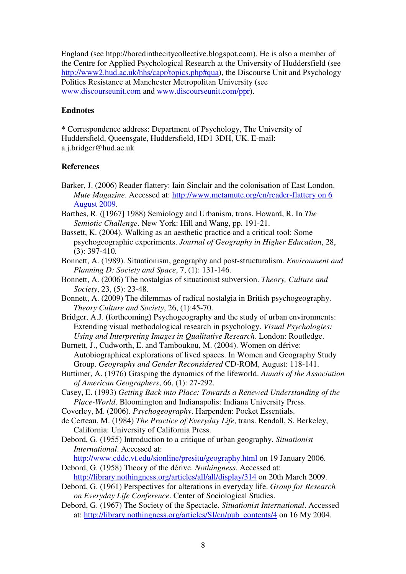England (see htpp://boredinthecitycollective.blogspot.com). He is also a member of the Centre for Applied Psychological Research at the University of Huddersfield (see http://www2.hud.ac.uk/hhs/capr/topics.php#qua), the Discourse Unit and Psychology Politics Resistance at Manchester Metropolitan University (see www.discourseunit.com and www.discourseunit.com/ppr).

#### **Endnotes**

**\*** Correspondence address: Department of Psychology, The University of Huddersfield, Queensgate, Huddersfield, HD1 3DH, UK. E-mail: a.j.bridger@hud.ac.uk

### **References**

- Barker, J. (2006) Reader flattery: Iain Sinclair and the colonisation of East London. *Mute Magazine*. Accessed at: http://www.metamute.org/en/reader-flattery on 6 August 2009.
- Barthes, R. ([1967] 1988) Semiology and Urbanism, trans. Howard, R. In *The Semiotic Challenge*. New York: Hill and Wang, pp. 191-21.
- Bassett, K. (2004). Walking as an aesthetic practice and a critical tool: Some psychogeographic experiments. *Journal of Geography in Higher Education*, 28, (3): 397-410.
- Bonnett, A. (1989). Situationism, geography and post-structuralism. *Environment and Planning D: Society and Space*, 7, (1): 131-146.
- Bonnett, A. (2006) The nostalgias of situationist subversion. *Theory, Culture and Society*, 23, (5): 23-48.
- Bonnett, A. (2009) The dilemmas of radical nostalgia in British psychogeography. *Theory Culture and Society*, 26, (1):45-70.
- Bridger, A.J. (forthcoming) Psychogeography and the study of urban environments: Extending visual methodological research in psychology. *Visual Psychologies: Using and Interpreting Images in Qualitative Research*. London: Routledge.
- Burnett, J., Cudworth, E. and Tamboukou, M. (2004). Women on dérive: Autobiographical explorations of lived spaces. In Women and Geography Study Group. *Geography and Gender Reconsidered* CD-ROM, August: 118-141.
- Buttimer, A. (1976) Grasping the dynamics of the lifeworld. *Annals of the Association of American Geographers*, 66, (1): 27-292.
- Casey, E. (1993) *Getting Back into Place: Towards a Renewed Understanding of the Place-World*. Bloomington and Indianapolis: Indiana University Press.
- Coverley, M. (2006). *Psychogeography*. Harpenden: Pocket Essentials.
- de Certeau, M. (1984) *The Practice of Everyday Life*, trans. Rendall, S. Berkeley, California: University of California Press.
- Debord, G. (1955) Introduction to a critique of urban geography. *Situationist International*. Accessed at:

http://www.cddc.vt.edu/sionline/presitu/geography.html on 19 January 2006. Debord, G. (1958) Theory of the dérive. *Nothingness*. Accessed at:

http://library.nothingness.org/articles/all/all/display/314 on 20th March 2009.

- Debord, G. (1961) Perspectives for alterations in everyday life. *Group for Research on Everyday Life Conference*. Center of Sociological Studies.
- Debord, G. (1967) The Society of the Spectacle. *Situationist International*. Accessed at: http://library.nothingness.org/articles/SI/en/pub\_contents/4 on 16 My 2004.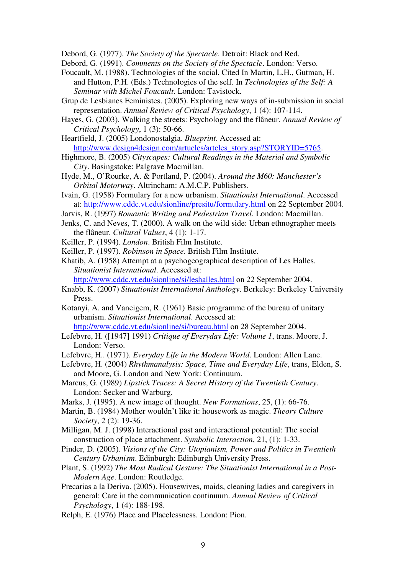Debord, G. (1977). *The Society of the Spectacle*. Detroit: Black and Red.

- Debord, G. (1991). *Comments on the Society of the Spectacle*. London: Verso.
- Foucault, M. (1988). Technologies of the social. Cited In Martin, L.H., Gutman, H. and Hutton, P.H. (Eds.) Technologies of the self. In *Technologies of the Self: A Seminar with Michel Foucault*. London: Tavistock.
- Grup de Lesbianes Feministes. (2005). Exploring new ways of in-submission in social representation. *Annual Review of Critical Psychology*, 1 (4): 107-114.
- Hayes, G. (2003). Walking the streets: Psychology and the flâneur. *Annual Review of Critical Psychology*, 1 (3): 50-66.
- Heartfield, J. (2005) Londonostalgia. *Blueprint*. Accessed at: http://www.design4design.com/artucles/artcles\_story.asp?STORYID=5765.
- Highmore, B. (2005) *Cityscapes: Cultural Readings in the Material and Symbolic City*. Basingstoke: Palgrave Macmillan.
- Hyde, M., O'Rourke, A. & Portland, P. (2004). *Around the M60: Manchester's Orbital Motorway*. Altrincham: A.M.C.P. Publishers.
- Ivain, G. (1958) Formulary for a new urbanism. *Situationist International*. Accessed at: http://www.cddc.vt.edu/sionline/presitu/formulary.html on 22 September 2004.
- Jarvis, R. (1997) *Romantic Writing and Pedestrian Travel*. London: Macmillan.
- Jenks, C. and Neves, T. (2000). A walk on the wild side: Urban ethnographer meets the flâneur. *Cultural Values*, 4 (1): 1-17.
- Keiller, P. (1994). *London*. British Film Institute.
- Keiller, P. (1997). *Robinson in Space*. British Film Institute.
- Khatib, A. (1958) Attempt at a psychogeographical description of Les Halles. *Situationist International*. Accessed at:
	- http://www.cddc.vt.edu/sionline/si/leshalles.html on 22 September 2004.
- Knabb, K. (2007) *Situationist International Anthology*. Berkeley: Berkeley University Press.
- Kotanyi, A. and Vaneigem, R. (1961) Basic programme of the bureau of unitary urbanism. *Situationist International*. Accessed at: http://www.cddc.vt.edu/sionline/si/bureau.html on 28 September 2004.
- Lefebvre, H. ([1947] 1991) *Critique of Everyday Life: Volume 1*, trans. Moore, J. London: Verso.
- Lefebvre, H.. (1971). *Everyday Life in the Modern World*. London: Allen Lane.
- Lefebvre, H. (2004) *Rhythmanalysis: Space, Time and Everyday Life*, trans, Elden, S. and Moore, G. London and New York: Continuum.
- Marcus, G. (1989) *Lipstick Traces: A Secret History of the Twentieth Century*. London: Secker and Warburg.
- Marks, J. (1995). A new image of thought. *New Formations*, 25, (1): 66-76.
- Martin, B. (1984) Mother wouldn't like it: housework as magic. *Theory Culture Society*, 2 (2): 19-36.
- Milligan, M. J. (1998) Interactional past and interactional potential: The social construction of place attachment. *Symbolic Interaction*, 21, (1): 1-33.
- Pinder, D. (2005). *Visions of the City: Utopianism, Power and Politics in Twentieth Century Urbanism*. Edinburgh: Edinburgh University Press.
- Plant, S. (1992) *The Most Radical Gesture: The Situationist International in a Post-Modern Age*. London: Routledge.
- Precarias a la Deriva. (2005). Housewives, maids, cleaning ladies and caregivers in general: Care in the communication continuum. *Annual Review of Critical Psychology*, 1 (4): 188-198.
- Relph, E. (1976) Place and Placelessness. London: Pion.